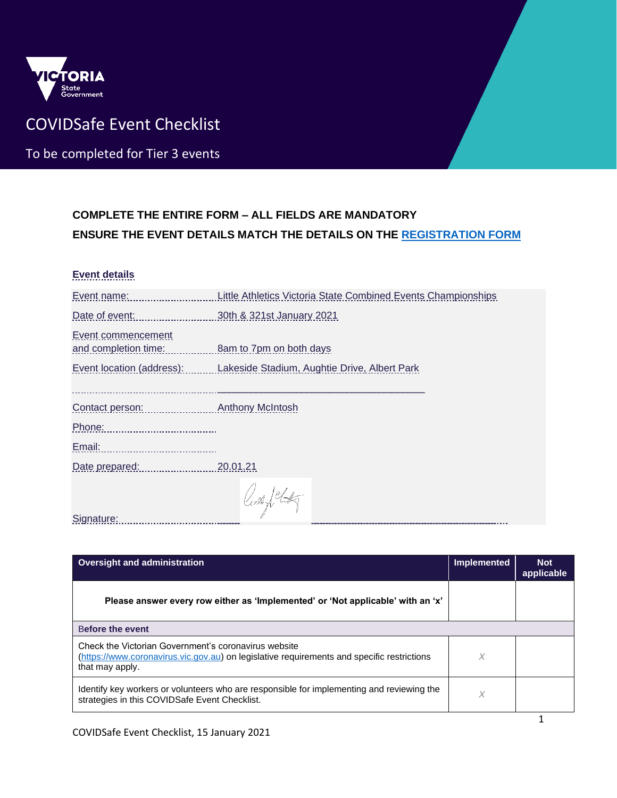

## COVIDSafe Event Checklist

To be completed for Tier 3 events

## **COMPLETE THE ENTIRE FORM – ALL FIELDS ARE MANDATORY ENSURE THE EVENT DETAILS MATCH THE DETAILS ON THE [REGISTRATION FORM](https://www.coronavirus.vic.gov.au/register-your-public-event)**

## **Event details**

| Event name:                                          | Little Athletics Victoria State Combined Events Championships          |
|------------------------------------------------------|------------------------------------------------------------------------|
| Date of event:                                       | 30th & 321st January 2021                                              |
| Event commencement<br>and completion time:           | 8am to 7pm on both days                                                |
|                                                      | Event location (address): Lakeside Stadium, Aughtie Drive, Albert Park |
|                                                      |                                                                        |
| Contact person: Entertainment of the contact person: | <b>Anthony McIntosh</b>                                                |
| Phone:                                               |                                                                        |
| Email:                                               |                                                                        |
| Date prepared:                                       | 20.01.21                                                               |
|                                                      | King flat                                                              |
| Signature:                                           |                                                                        |

**Oversight and administration Implemented Implemented Implemented Implemented Implemented applicable Please answer every row either as 'Implemented' or 'Not applicable' with an 'x'** B**efore the event** Check the Victorian Government's coronavirus website [\(https://www.coronavirus.vic.gov.au\)](https://www.coronavirus.vic.gov.au/) on legislative requirements and specific restrictions that may apply. *X* Identify key workers or volunteers who are responsible for implementing and reviewing the Identify key workers or volunteers who are responsible for implementing and reviewing the  $\chi$  strategies in this COVIDSafe Event Checklist.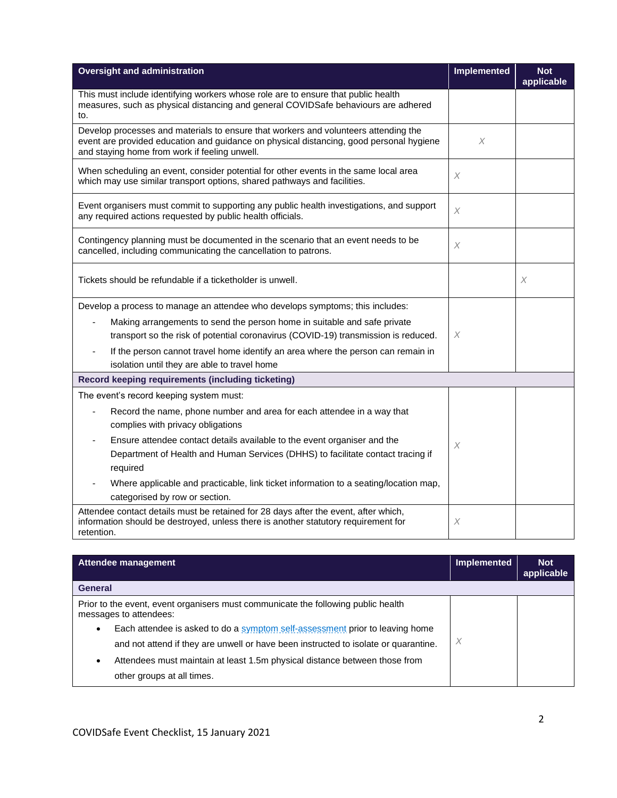| <b>Oversight and administration</b>                                                                                                                                                                                             | <b>Implemented</b>    | <b>Not</b><br>applicable |
|---------------------------------------------------------------------------------------------------------------------------------------------------------------------------------------------------------------------------------|-----------------------|--------------------------|
| This must include identifying workers whose role are to ensure that public health<br>measures, such as physical distancing and general COVIDSafe behaviours are adhered<br>to.                                                  |                       |                          |
| Develop processes and materials to ensure that workers and volunteers attending the<br>event are provided education and guidance on physical distancing, good personal hygiene<br>and staying home from work if feeling unwell. | X                     |                          |
| When scheduling an event, consider potential for other events in the same local area<br>which may use similar transport options, shared pathways and facilities.                                                                | X                     |                          |
| Event organisers must commit to supporting any public health investigations, and support<br>any required actions requested by public health officials.                                                                          | $\chi$                |                          |
| Contingency planning must be documented in the scenario that an event needs to be<br>cancelled, including communicating the cancellation to patrons.                                                                            | $\times$              |                          |
| Tickets should be refundable if a ticketholder is unwell.                                                                                                                                                                       |                       | $\boldsymbol{\times}$    |
| Develop a process to manage an attendee who develops symptoms; this includes:                                                                                                                                                   |                       |                          |
| Making arrangements to send the person home in suitable and safe private<br>transport so the risk of potential coronavirus (COVID-19) transmission is reduced.                                                                  | X                     |                          |
| If the person cannot travel home identify an area where the person can remain in<br>$\blacksquare$<br>isolation until they are able to travel home                                                                              |                       |                          |
| Record keeping requirements (including ticketing)                                                                                                                                                                               |                       |                          |
| The event's record keeping system must:                                                                                                                                                                                         |                       |                          |
| Record the name, phone number and area for each attendee in a way that<br>complies with privacy obligations                                                                                                                     |                       |                          |
| Ensure attendee contact details available to the event organiser and the<br>$\overline{\phantom{a}}$<br>Department of Health and Human Services (DHHS) to facilitate contact tracing if                                         | $\boldsymbol{\times}$ |                          |
| required                                                                                                                                                                                                                        |                       |                          |
| Where applicable and practicable, link ticket information to a seating/location map,<br>categorised by row or section.                                                                                                          |                       |                          |
| Attendee contact details must be retained for 28 days after the event, after which,<br>information should be destroyed, unless there is another statutory requirement for<br>retention.                                         | $\chi$                |                          |

| Attendee management                                                                                         | <b>Implemented</b> | <b>Not</b><br>applicable |
|-------------------------------------------------------------------------------------------------------------|--------------------|--------------------------|
| <b>General</b>                                                                                              |                    |                          |
| Prior to the event, event organisers must communicate the following public health<br>messages to attendees: |                    |                          |
| Each attendee is asked to do a symptom self-assessment prior to leaving home<br>٠                           |                    |                          |
| and not attend if they are unwell or have been instructed to isolate or quarantine.                         | X                  |                          |
| Attendees must maintain at least 1.5m physical distance between those from<br>٠                             |                    |                          |
| other groups at all times.                                                                                  |                    |                          |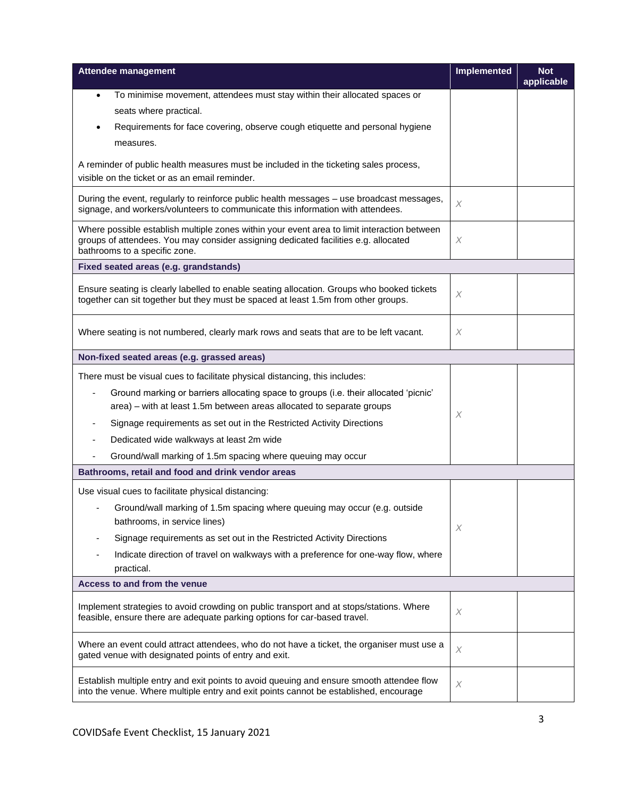| <b>Attendee management</b>                                                                                                                                                                                          | <b>Implemented</b>        | <b>Not</b><br>applicable |
|---------------------------------------------------------------------------------------------------------------------------------------------------------------------------------------------------------------------|---------------------------|--------------------------|
| To minimise movement, attendees must stay within their allocated spaces or<br>$\bullet$                                                                                                                             |                           |                          |
| seats where practical.                                                                                                                                                                                              |                           |                          |
| Requirements for face covering, observe cough etiquette and personal hygiene                                                                                                                                        |                           |                          |
| measures.                                                                                                                                                                                                           |                           |                          |
| A reminder of public health measures must be included in the ticketing sales process,                                                                                                                               |                           |                          |
| visible on the ticket or as an email reminder.                                                                                                                                                                      |                           |                          |
| During the event, regularly to reinforce public health messages - use broadcast messages,<br>signage, and workers/volunteers to communicate this information with attendees.                                        | $\times$                  |                          |
|                                                                                                                                                                                                                     |                           |                          |
| Where possible establish multiple zones within your event area to limit interaction between<br>groups of attendees. You may consider assigning dedicated facilities e.g. allocated<br>bathrooms to a specific zone. | X                         |                          |
| Fixed seated areas (e.g. grandstands)                                                                                                                                                                               |                           |                          |
|                                                                                                                                                                                                                     |                           |                          |
| Ensure seating is clearly labelled to enable seating allocation. Groups who booked tickets<br>together can sit together but they must be spaced at least 1.5m from other groups.                                    | X                         |                          |
|                                                                                                                                                                                                                     |                           |                          |
| Where seating is not numbered, clearly mark rows and seats that are to be left vacant.                                                                                                                              | $\times$                  |                          |
| Non-fixed seated areas (e.g. grassed areas)                                                                                                                                                                         |                           |                          |
| There must be visual cues to facilitate physical distancing, this includes:                                                                                                                                         |                           |                          |
| Ground marking or barriers allocating space to groups (i.e. their allocated 'picnic'                                                                                                                                |                           |                          |
| area) – with at least 1.5m between areas allocated to separate groups                                                                                                                                               | X                         |                          |
| Signage requirements as set out in the Restricted Activity Directions                                                                                                                                               |                           |                          |
| Dedicated wide walkways at least 2m wide                                                                                                                                                                            |                           |                          |
| Ground/wall marking of 1.5m spacing where queuing may occur                                                                                                                                                         |                           |                          |
| Bathrooms, retail and food and drink vendor areas                                                                                                                                                                   |                           |                          |
| Use visual cues to facilitate physical distancing:                                                                                                                                                                  |                           |                          |
| Ground/wall marking of 1.5m spacing where queuing may occur (e.g. outside                                                                                                                                           |                           |                          |
| bathrooms, in service lines)                                                                                                                                                                                        | X                         |                          |
| Signage requirements as set out in the Restricted Activity Directions                                                                                                                                               |                           |                          |
| Indicate direction of travel on walkways with a preference for one-way flow, where                                                                                                                                  |                           |                          |
| practical.                                                                                                                                                                                                          |                           |                          |
| Access to and from the venue                                                                                                                                                                                        |                           |                          |
| Implement strategies to avoid crowding on public transport and at stops/stations. Where<br>feasible, ensure there are adequate parking options for car-based travel.                                                | X                         |                          |
| Where an event could attract attendees, who do not have a ticket, the organiser must use a<br>gated venue with designated points of entry and exit.                                                                 | $\boldsymbol{\mathsf{X}}$ |                          |
| Establish multiple entry and exit points to avoid queuing and ensure smooth attendee flow<br>into the venue. Where multiple entry and exit points cannot be established, encourage                                  | X                         |                          |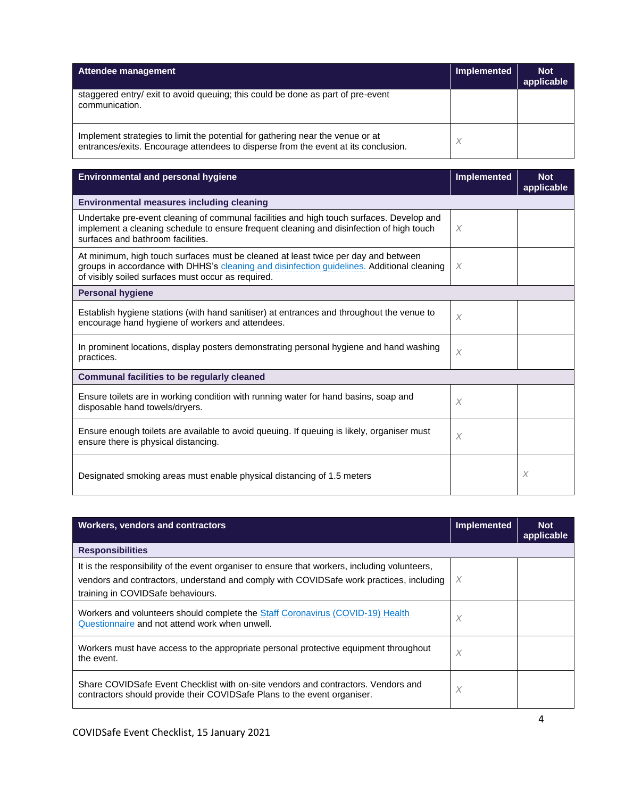| Attendee management                                                                                                                                                  | Implemented | <b>Not</b><br>applicable |
|----------------------------------------------------------------------------------------------------------------------------------------------------------------------|-------------|--------------------------|
| staggered entry/ exit to avoid queuing; this could be done as part of pre-event<br>communication.                                                                    |             |                          |
| Implement strategies to limit the potential for gathering near the venue or at<br>entrances/exits. Encourage attendees to disperse from the event at its conclusion. |             |                          |

| <b>Environmental and personal hygiene</b>                                                                                                                                                                                              | <b>Implemented</b> | <b>Not</b><br>applicable |
|----------------------------------------------------------------------------------------------------------------------------------------------------------------------------------------------------------------------------------------|--------------------|--------------------------|
| <b>Environmental measures including cleaning</b>                                                                                                                                                                                       |                    |                          |
| Undertake pre-event cleaning of communal facilities and high touch surfaces. Develop and<br>implement a cleaning schedule to ensure frequent cleaning and disinfection of high touch<br>surfaces and bathroom facilities.              | X                  |                          |
| At minimum, high touch surfaces must be cleaned at least twice per day and between<br>groups in accordance with DHHS's cleaning and disinfection guidelines. Additional cleaning<br>of visibly soiled surfaces must occur as required. | X                  |                          |
| <b>Personal hygiene</b>                                                                                                                                                                                                                |                    |                          |
| Establish hygiene stations (with hand sanitiser) at entrances and throughout the venue to<br>encourage hand hygiene of workers and attendees.                                                                                          | $\times$           |                          |
| In prominent locations, display posters demonstrating personal hygiene and hand washing<br>practices.                                                                                                                                  | $\times$           |                          |
| <b>Communal facilities to be regularly cleaned</b>                                                                                                                                                                                     |                    |                          |
| Ensure toilets are in working condition with running water for hand basins, soap and<br>disposable hand towels/dryers.                                                                                                                 | X                  |                          |
| Ensure enough toilets are available to avoid queuing. If queuing is likely, organiser must<br>ensure there is physical distancing.                                                                                                     | $\times$           |                          |
| Designated smoking areas must enable physical distancing of 1.5 meters                                                                                                                                                                 |                    | X                        |

| <b>Workers, vendors and contractors</b>                                                                                                                                                                                       | Implemented | <b>Not</b><br>applicable |
|-------------------------------------------------------------------------------------------------------------------------------------------------------------------------------------------------------------------------------|-------------|--------------------------|
| <b>Responsibilities</b>                                                                                                                                                                                                       |             |                          |
| It is the responsibility of the event organiser to ensure that workers, including volunteers,<br>vendors and contractors, understand and comply with COVIDSafe work practices, including<br>training in COVIDSafe behaviours. | X           |                          |
| Workers and volunteers should complete the Staff Coronavirus (COVID-19) Health<br>Questionnaire and not attend work when unwell.                                                                                              | X           |                          |
| Workers must have access to the appropriate personal protective equipment throughout<br>the event.                                                                                                                            | X           |                          |
| Share COVIDSafe Event Checklist with on-site vendors and contractors. Vendors and<br>contractors should provide their COVIDSafe Plans to the event organiser.                                                                 | X           |                          |